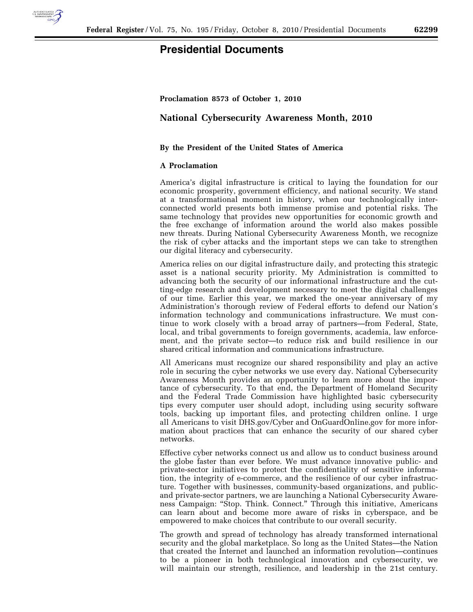

## **Presidential Documents**

**Proclamation 8573 of October 1, 2010** 

## **National Cybersecurity Awareness Month, 2010**

## **By the President of the United States of America**

## **A Proclamation**

America's digital infrastructure is critical to laying the foundation for our economic prosperity, government efficiency, and national security. We stand at a transformational moment in history, when our technologically interconnected world presents both immense promise and potential risks. The same technology that provides new opportunities for economic growth and the free exchange of information around the world also makes possible new threats. During National Cybersecurity Awareness Month, we recognize the risk of cyber attacks and the important steps we can take to strengthen our digital literacy and cybersecurity.

America relies on our digital infrastructure daily, and protecting this strategic asset is a national security priority. My Administration is committed to advancing both the security of our informational infrastructure and the cutting-edge research and development necessary to meet the digital challenges of our time. Earlier this year, we marked the one-year anniversary of my Administration's thorough review of Federal efforts to defend our Nation's information technology and communications infrastructure. We must continue to work closely with a broad array of partners—from Federal, State, local, and tribal governments to foreign governments, academia, law enforcement, and the private sector—to reduce risk and build resilience in our shared critical information and communications infrastructure.

All Americans must recognize our shared responsibility and play an active role in securing the cyber networks we use every day. National Cybersecurity Awareness Month provides an opportunity to learn more about the importance of cybersecurity. To that end, the Department of Homeland Security and the Federal Trade Commission have highlighted basic cybersecurity tips every computer user should adopt, including using security software tools, backing up important files, and protecting children online. I urge all Americans to visit DHS.gov/Cyber and OnGuardOnline.gov for more information about practices that can enhance the security of our shared cyber networks.

Effective cyber networks connect us and allow us to conduct business around the globe faster than ever before. We must advance innovative public- and private-sector initiatives to protect the confidentiality of sensitive information, the integrity of e-commerce, and the resilience of our cyber infrastructure. Together with businesses, community-based organizations, and publicand private-sector partners, we are launching a National Cybersecurity Awareness Campaign: ''Stop. Think. Connect.'' Through this initiative, Americans can learn about and become more aware of risks in cyberspace, and be empowered to make choices that contribute to our overall security.

The growth and spread of technology has already transformed international security and the global marketplace. So long as the United States—the Nation that created the Internet and launched an information revolution—continues to be a pioneer in both technological innovation and cybersecurity, we will maintain our strength, resilience, and leadership in the 21st century.